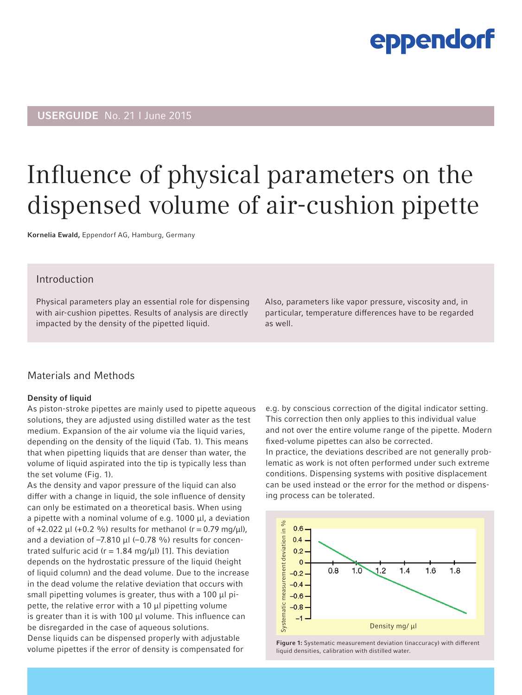## USERGUIDE No. 21 I June 2015

## Influence of physical parameters on the dispensed volume of air-cushion pipette

Kornelia Ewald, Eppendorf AG, Hamburg, Germany

### Introduction

Physical parameters play an essential role for dispensing with air-cushion pipettes. Results of analysis are directly impacted by the density of the pipetted liquid.

Also, parameters like vapor pressure, viscosity and, in particular, temperature differences have to be regarded as well.

### Materials and Methods

#### Density of liquid

As piston-stroke pipettes are mainly used to pipette aqueous solutions, they are adjusted using distilled water as the test medium. Expansion of the air volume via the liquid varies, depending on the density of the liquid (Tab. 1). This means that when pipetting liquids that are denser than water, the volume of liquid aspirated into the tip is typically less than the set volume (Fig. 1).

As the density and vapor pressure of the liquid can also differ with a change in liquid, the sole influence of density can only be estimated on a theoretical basis. When using a pipette with a nominal volume of e.g. 1000 μl, a deviation of +2.022 μl (+0.2 %) results for methanol ( $r = 0.79$  mg/μl), and a deviation of  $-7.810 \mu$  ( $-0.78 \%$ trated sulfuric acid ( $r = 1.84$  mg/ $\mu$ I) [1]. This deviation depends on the hydrostatic pressure of the liquid (height of liquid column) and the dead volume. Due to the increase in the dead volume the relative deviation that occurs with small pipetting volumes is greater, thus with a 100 μl pipette, the relative error with a 10 μl pipetting volume is greater than it is with 100 μl volume. This influence can be disregarded in the case of aqueous solutions. Dense liquids can be dispensed properly with adjustable volume pipettes if the error of density is compensated for

e.g. by conscious correction of the digital indicator setting. This correction then only applies to this individual value and not over the entire volume range of the pipette. Modern fixed-volume pipettes can also be corrected. In practice, the deviations described are not generally problematic as work is not often performed under such extreme conditions. Dispensing systems with positive displacement can be used instead or the error for the method or dispensing process can be tolerated.



Figure 1: Systematic measurement deviation (inaccuracy) with different liquid densities, calibration with distilled water.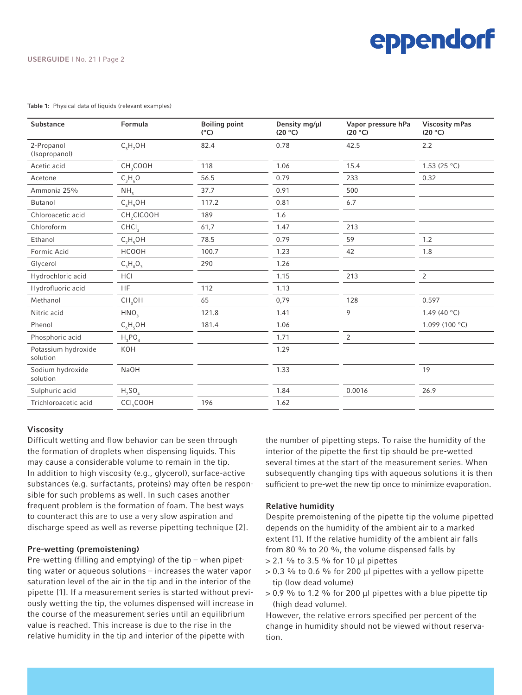#### USERGUIDE I No. 21 I Page 2

#### Table 1: Physical data of liquids (relevant examples)

| Substance                       | <b>Formula</b>         | <b>Boiling point</b><br>$(^{\circ}C)$ | Density mg/µl<br>(20 °C) | Vapor pressure hPa<br>(20 °C) | <b>Viscosity mPas</b><br>(20 °C) |
|---------------------------------|------------------------|---------------------------------------|--------------------------|-------------------------------|----------------------------------|
| 2-Propanol<br>(Isopropanol)     | $C_3H_7OH$             | 82.4                                  | 0.78                     | 42.5                          | 2.2                              |
| Acetic acid                     | CH <sub>3</sub> COOH   | 118                                   | 1.06                     | 15.4                          | 1.53 (25 $^{\circ}$ C)           |
| Acetone                         | $C_3H_6O$              | 56.5                                  | 0.79                     | 233                           | 0.32                             |
| Ammonia 25%                     | NH <sub>3</sub>        | 37.7                                  | 0.91                     | 500                           |                                  |
| Butanol                         | $C_A H_0$ OH           | 117.2                                 | 0.81                     | 6.7                           |                                  |
| Chloroacetic acid               | CH <sub>2</sub> CICOOH | 189                                   | 1.6                      |                               |                                  |
| Chloroform                      | CHCI <sub>3</sub>      | 61,7                                  | 1.47                     | 213                           |                                  |
| Ethanol                         | $C_2H_5OH$             | 78.5                                  | 0.79                     | 59                            | 1.2                              |
| Formic Acid                     | <b>HCOOH</b>           | 100.7                                 | 1.23                     | 42                            | 1.8                              |
| Glycerol                        | $C_3H_8O_3$            | 290                                   | 1.26                     |                               |                                  |
| Hydrochloric acid               | HCI                    |                                       | 1.15                     | 213                           | $\overline{2}$                   |
| Hydrofluoric acid               | <b>HF</b>              | 112                                   | 1.13                     |                               |                                  |
| Methanol                        | CH <sub>3</sub> OH     | 65                                    | 0,79                     | 128                           | 0.597                            |
| Nitric acid                     | HNO <sub>3</sub>       | 121.8                                 | 1.41                     | 9                             | 1.49 (40 $^{\circ}$ C)           |
| Phenol                          | $C_6H_5OH$             | 181.4                                 | 1.06                     |                               | 1.099 (100 °C)                   |
| Phosphoric acid                 | $H_3PO_4$              |                                       | 1.71                     | 2                             |                                  |
| Potassium hydroxide<br>solution | KOH                    |                                       | 1.29                     |                               |                                  |
| Sodium hydroxide<br>solution    | <b>NaOH</b>            |                                       | 1.33                     |                               | 19                               |
| Sulphuric acid                  | $H_2SO_4$              |                                       | 1.84                     | 0.0016                        | 26.9                             |
| Trichloroacetic acid            | CCI <sub>3</sub> COOH  | 196                                   | 1.62                     |                               |                                  |
|                                 |                        |                                       |                          |                               |                                  |

#### Viscosity

Difficult wetting and flow behavior can be seen through the formation of droplets when dispensing liquids. This may cause a considerable volume to remain in the tip. In addition to high viscosity (e.g., glycerol), surface-active substances (e.g. surfactants, proteins) may often be responsible for such problems as well. In such cases another frequent problem is the formation of foam. The best ways to counteract this are to use a very slow aspiration and discharge speed as well as reverse pipetting technique [2].

#### Pre-wetting (premoistening)

Pre-wetting (filling and emptying) of the tip – when pipetting water or aqueous solutions – increases the water vapor saturation level of the air in the tip and in the interior of the pipette [1]. If a measurement series is started without previously wetting the tip, the volumes dispensed will increase in the course of the measurement series until an equilibrium value is reached. This increase is due to the rise in the relative humidity in the tip and interior of the pipette with

the number of pipetting steps. To raise the humidity of the interior of the pipette the first tip should be pre-wetted several times at the start of the measurement series. When subsequently changing tips with aqueous solutions it is then sufficient to pre-wet the new tip once to minimize evaporation.

### Relative humidity

Despite premoistening of the pipette tip the volume pipetted depends on the humidity of the ambient air to a marked extent [1]. If the relative humidity of the ambient air falls from 80 % to 20 %, the volume dispensed falls by > 2.1 % to 3.5 % for 10 μl pipettes

- $> 0.3$  % to 0.6 % for 200 µl pipettes with a yellow pipette tip (low dead volume)
- $> 0.9$  % to 1.2 % for 200 µl pipettes with a blue pipette tip (high dead volume).

However, the relative errors specified per percent of the change in humidity should not be viewed without reservation.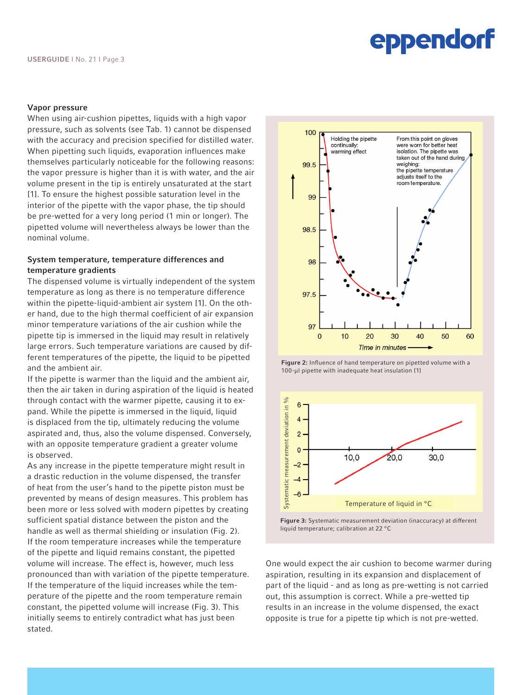#### Vapor pressure

When using air-cushion pipettes, liquids with a high vapor pressure, such as solvents (see Tab. 1) cannot be dispensed with the accuracy and precision specified for distilled water. When pipetting such liquids, evaporation influences make themselves particularly noticeable for the following reasons: the vapor pressure is higher than it is with water, and the air volume present in the tip is entirely unsaturated at the start [1]. To ensure the highest possible saturation level in the interior of the pipette with the vapor phase, the tip should be pre-wetted for a very long period (1 min or longer). The pipetted volume will nevertheless always be lower than the nominal volume.

### System temperature, temperature differences and temperature gradients

The dispensed volume is virtually independent of the system temperature as long as there is no temperature difference within the pipette-liquid-ambient air system [1]. On the other hand, due to the high thermal coefficient of air expansion minor temperature variations of the air cushion while the pipette tip is immersed in the liquid may result in relatively large errors. Such temperature variations are caused by different temperatures of the pipette, the liquid to be pipetted and the ambient air.

If the pipette is warmer than the liquid and the ambient air, then the air taken in during aspiration of the liquid is heated through contact with the warmer pipette, causing it to expand. While the pipette is immersed in the liquid, liquid is displaced from the tip, ultimately reducing the volume aspirated and, thus, also the volume dispensed. Conversely, with an opposite temperature gradient a greater volume is observed.

As any increase in the pipette temperature might result in a drastic reduction in the volume dispensed, the transfer of heat from the user's hand to the pipette piston must be prevented by means of design measures. This problem has been more or less solved with modern pipettes by creating sufficient spatial distance between the piston and the handle as well as thermal shielding or insulation (Fig. 2). If the room temperature increases while the temperature of the pipette and liquid remains constant, the pipetted volume will increase. The effect is, however, much less pronounced than with variation of the pipette temperature. If the temperature of the liquid increases while the temperature of the pipette and the room temperature remain constant, the pipetted volume will increase (Fig. 3). This initially seems to entirely contradict what has just been stated.



Figure 2: Influence of hand temperature on pipetted volume with a 100-μl pipette with inadequate heat insulation [1]



Figure 3: Systematic measurement deviation (inaccuracy) at different liquid temperature; calibration at 22 °C

One would expect the air cushion to become warmer during aspiration, resulting in its expansion and displacement of part of the liquid - and as long as pre-wetting is not carried out, this assumption is correct. While a pre-wetted tip results in an increase in the volume dispensed, the exact opposite is true for a pipette tip which is not pre-wetted.